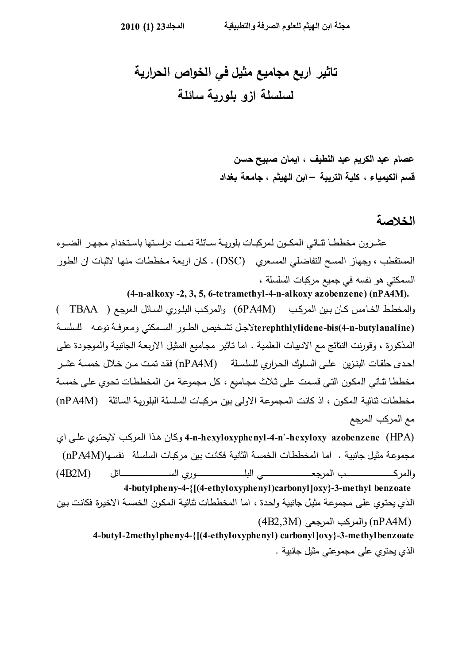# **الخواص الحراریة فيتاثیر اربع مجامیع مثیل لسلسلة ازو بلوریة سائلة**

 **ایمان صبیح حسن، عصام عبد الكریم عبد اللطیف جامعة بغداد ، ابن الهیثم –كلیة التربیة ، قسم الكیمیاء** 

## **الخلاصة**

عشـرون مخططــا نتــائـي المكــون لمركبــات بلوريــة ســائلة تمــت دراسـتها باسـتخدام مجـهـر الضـــوء المستقطب ، وجهاز المسح التفاضلي المسعري (DSC) . كان اربعة مخططات منها لاثبات ان الطور ،السمكتي هو نفسه في جمیع مركبات السلسلة

 **(4-n-alkoxy -2, 3, 5, 6-tetramethyl-4-n-alkoxy azobenzene) (nPA4M).**  والمخطـط الخــامس كــان بــین المركــب (M4PA6 (والمركــب البلــوري الســائل المرجـع ( TBAA( **(butylanaline-n4-(bis-terephthlylidene**لاجـــل تشـــخیص الطـــور الســـمكتي ومعرفـــة نوعـــه للسلســــة المذكورة ، وقورنت النتائج مـع الادبیـات الـعلميـة . امـا تـاثیر مجـامیـع المثیل الاربـعـة الـجانبیـة والموجـودة علـى احــدى حلقــات البنــزین علـــى الســلوك الحــراري للسلســـلة (M4nPA (فقــد تمــت مـــن خــلال خمســة عشـــر مخططــا نتـائـي المكـون التــي قسمت علـي ثـلاث مجـاميع ، كل مجموعـة من المخططــات تحوي علـي خمسـة مخططات ثنائية المكون ، اذ كانت المجموعة الاولى ببن مركبـات السلسلة البلوريـة السائلة (nPA4M) مع المركب المرجع

(HPA(**azobenzene hexyloxy-`n-4-hexyloxyphenyl-n4-** وكـان هــذا المركـب لایحتـوي علــى اي مجموعـة مثيل جانبيـة . امـا المخططـات الخمسـة الثانيـة فكانـت بـين مركبـات السلسلة نفسـها(nPA4M) والمركـــــــــــــــــــــــــــــــــــــــــــــــــــــــــــــب المرجعـــــــــــــــــــــــــــــــــــــــــــــــــــــــــــــي البلـــــــــــــــــــــــــــــــــــــــــــــــــــــــــــــوري الســـــــــــــــــــــــــــــــــــــــــــــــــــــــــــــائل (M2B4 ( **4-butylpheny-4-{[(4-ethyloxyphenyl)carbonyl]oxy}-3-methyl benzoate**

الذي يحتوي على مجموعـة مثيل جانبيـة واحدة ، امـا المخططـات نتائيـة الـمكون الـخمسـة الاخيرة فكانت بـين (4B2,3M) المرجعي والمركب) nPA4M)  **4-butyl-2methylpheny4-{[(4-ethyloxyphenyl) carbonyl]oxy}-3-methylbenzoate**

الذي یحتوي على مجموعتي مثیل جانبیة .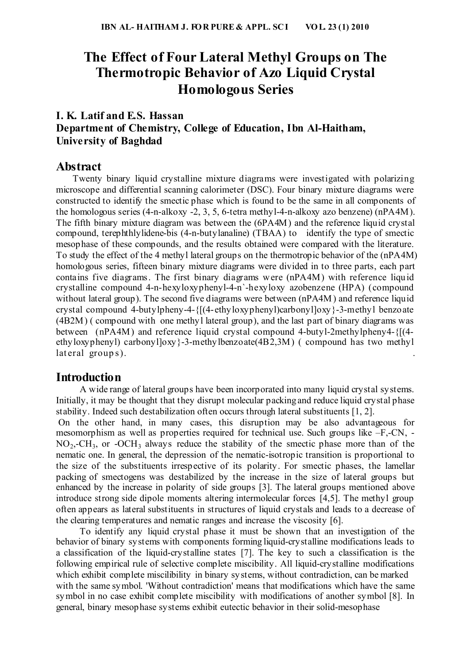## **The Effect of Four Lateral Methyl Groups on The Thermotropic Behavior of Azo Liquid Crystal Homologous Series**

## **I. K. Latif and E.S. Hassan Department of Chemistry, College of Education, Ibn Al-Haitham, University of Baghdad**

## **Abstract**

 Twenty binary liquid crystalline mixture diagrams were investigated with polarizing microscope and differential scanning calorimeter (DSC). Four binary mixture diagrams were constructed to identify the smectic phase which is found to be the same in all components of the homologous series (4-n-alkoxy -2, 3, 5, 6-tetra methyl-4-n-alkoxy azo benzene) (nPA4M). The fifth binary mixture diagram was between the (6PA4M) and the reference liquid crystal compound, terephthlylidene-bis (4-n-butylanaline) (TBAA) to identify the type of smectic mesophase of these compounds, and the results obtained were compared with the literature. To study the effect of the 4 methyl lateral groups on the thermotropic behavior of the (nPA4M) homologous series, fifteen binary mixture diagrams were divided in to three parts, each part contains five diagrams. The first binary diagrams were (nPA4M) with reference liquid crystalline compound 4-n-hexyloxyphenyl-4-n`-hexyloxy azobenzene (HPA) (compound without lateral group). The second five diagrams were between (nPA4M) and reference liquid crystal compound 4-butylpheny-4-{[(4-ethyloxyphenyl)carbonyl]oxy}-3-methyl benzoate (4B2M) ( compound with one methyl lateral group), and the last part of binary diagrams was between (nPA4M) and reference liquid crystal compound 4-butyl-2methylpheny4-{ $[(4$ ethyloxyphenyl) carbonyl]oxy}-3-methylbenzoate(4B2,3M) ( compound has two methyl lateral groups).

## **Introduction**

 A wide range of lateral groups have been incorporated into many liquid crystal systems. Initially, it may be thought that they disrupt molecular packing and reduce liquid crystal phase stability. Indeed such destabilization often occurs through lateral substituents [1, 2].

 On the other hand, in many cases, this disruption may be also advantageous for mesomorphism as well as properties required for technical use. Such groups like –F,-CN, -  $NO<sub>2</sub>$ -CH<sub>3</sub>, or -OCH<sub>3</sub> always reduce the stability of the smectic phase more than of the nematic one. In general, the depression of the nematic-isotropic transition is proportional to the size of the substituents irrespective of its polarity. For smectic phases, the lamellar packing of smectogens was destabilized by the increase in the size of lateral groups but enhanced by the increase in polarity of side groups [3]. The lateral groups mentioned above introduce strong side dipole moments altering intermolecular forces [4,5]. The methyl group often appears as lateral substituents in structures of liquid crystals and leads to a decrease of the clearing temperatures and nematic ranges and increase the viscosity [6].

 To identify any liquid crystal phase it must be shown that an investigation of the behavior of binary systems with components forming liquid-crystalline modifications leads to a classification of the liquid-crystalline states [7]. The key to such a classification is the following empirical rule of selective complete miscibility. All liquid-crystalline modifications which exhibit complete miscilibility in binary systems, without contradiction, can be marked with the same symbol. 'Without contradiction' means that modifications which have the same symbol in no case exhibit complete miscibility with modifications of another symbol [8]. In general, binary mesophase systems exhibit eutectic behavior in their solid-mesophase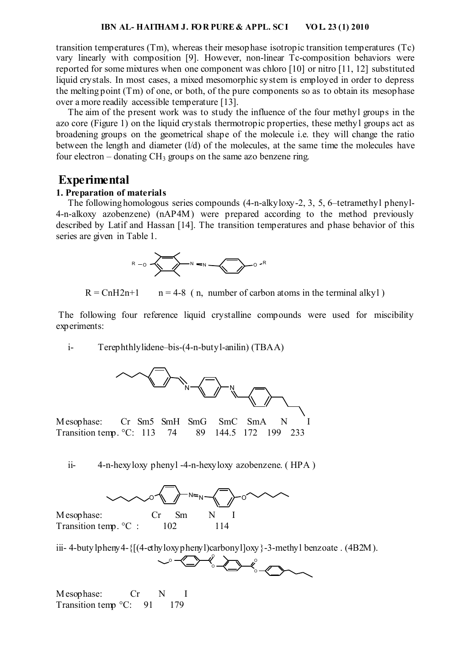transition temperatures (Tm), whereas their mesophase isotropic transition temperatures (Tc) vary linearly with composition [9]. However, non-linear Tc-composition behaviors were reported for some mixtures when one component was chloro [10] or nitro [11, 12] substituted liquid crystals. In most cases, a mixed mesomorphic system is employed in order to depress the melting point (Tm) of one, or both, of the pure components so as to obtain its mesophase over a more readily accessible temperature [13].

 The aim of the present work was to study the influence of the four methyl groups in the azo core (Figure 1) on the liquid crystals thermotropic properties, these methyl groups act as broadening groups on the geometrical shape of the molecule i.e. they will change the ratio between the length and diameter (l/d) of the molecules, at the same time the molecules have four electron – donating  $CH_3$  groups on the same azo benzene ring.

## **Experimental**

## **1. Preparation of materials**

 The following homologous series compounds (4-n-alkyloxy-2, 3, 5, 6–tetramethyl phenyl-4-n-alkoxy azobenzene) (nAP4M) were prepared according to the method previously described by Latif and Hassan [14]. The transition temperatures and phase behavior of this series are given in Table 1.



 $R = CnH2n+1$  n = 4-8 ( n, number of carbon atoms in the terminal alkyl)

 The following four reference liquid crystalline compounds were used for miscibility experiments:

i- Terephthlylidene–bis-(4-n-butyl-anilin) (TBAA)



ii- 4-n-hexyloxy phenyl -4-n-hexyloxy azobenzene. ( HPA )



iii- 4-butylpheny4- $\{[(4-ethylboxyphenyl)carbonyl]oxy\}$ -3-methyl benzoate . (4B2M).



Mesophase: Cr N I Transition temp  $°C: 91 \t 179$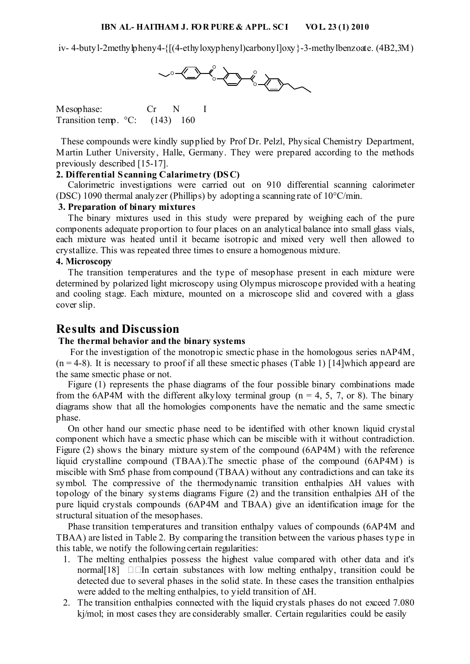iv- 4-butyl-2methylpheny4-{[(4-ethyloxyphenyl)carbonyl]oxy}-3-methylbenzoate. (4B2,3M)



Mesophase: Cr N I Transition temp.  $°C: (143)$  160

 These compounds were kindly supplied by Prof Dr. Pelzl, Physical Chemistry Department, Martin Luther University, Halle, Germany. They were prepared according to the methods previously described [15-17].

#### **2. Differential Scanning Calarimetry (DSC)**

 Calorimetric investigations were carried out on 910 differential scanning calorimeter (DSC) 1090 thermal analyzer (Phillips) by adopting a scanning rate of 10°C/min.

#### **3. Preparation of binary mixtures**

 The binary mixtures used in this study were prepared by weighing each of the pure components adequate proportion to four places on an analytical balance into small glass vials, each mixture was heated until it became isotropic and mixed very well then allowed to crystallize. This was repeated three times to ensure a homogenous mixture.

#### **4. Microscopy**

 The transition temperatures and the type of mesophase present in each mixture were determined by polarized light microscopy using Olympus microscope provided with a heating and cooling stage. Each mixture, mounted on a microscope slid and covered with a glass cover slip.

## **Results and Discussion**

#### **The thermal behavior and the binary systems**

 For the investigation of the monotropic smectic phase in the homologous series nAP4M,  $(n = 4-8)$ . It is necessary to proof if all these smectic phases (Table 1) [14]which appeard are the same smectic phase or not.

Figure (1) represents the phase diagrams of the four possible binary combinations made from the 6AP4M with the different alkyloxy terminal group ( $n = 4, 5, 7$ , or 8). The binary diagrams show that all the homologies components have the nematic and the same smectic phase.

 On other hand our smectic phase need to be identified with other known liquid crystal component which have a smectic phase which can be miscible with it without contradiction. Figure (2) shows the binary mixture system of the compound (6AP4M) with the reference liquid crystalline compound (TBAA).The smectic phase of the compound (6AP4M) is miscible with Sm5 phase from compound (TBAA) without any contradictions and can take its symbol. The compressive of the thermodynamic transition enthalpies ∆H values with topology of the binary systems diagrams Figure (2) and the transition enthalpies ∆H of the pure liquid crystals compounds (6AP4M and TBAA) give an identification image for the structural situation of the mesophases.

 Phase transition temperatures and transition enthalpy values of compounds (6AP4M and TBAA) are listed in Table 2. By comparing the transition between the various phases type in this table, we notify the following certain regularities:

- 1. The melting enthalpies possess the highest value compared with other data and it's normal [18]  $\Box$  In certain substances with low melting enthalpy, transition could be detected due to several phases in the solid state. In these cases the transition enthalpies were added to the melting enthalpies, to yield transition of ∆H.
- 2. The transition enthalpies connected with the liquid crystals phases do not exceed 7.080 kj/mol; in most cases they are considerably smaller. Certain regularities could be easily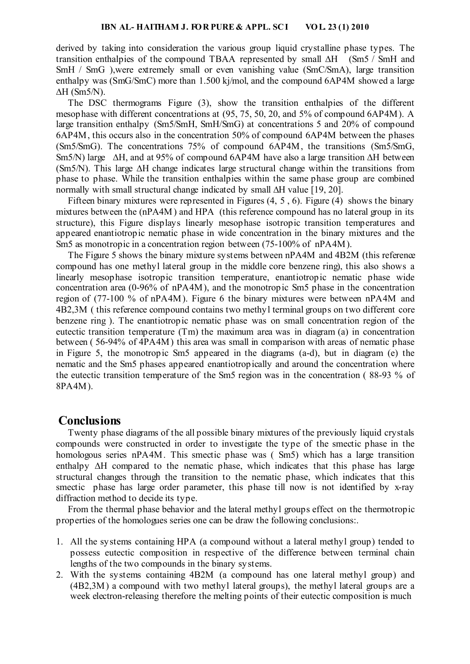derived by taking into consideration the various group liquid crystalline phase types. The transition enthalpies of the compound TBAA represented by small ∆H (Sm5 / SmH and SmH / SmG ),were extremely small or even vanishing value (SmC/SmA), large transition enthalpy was (SmG/SmC) more than 1.500 kj/mol, and the compound 6AP4M showed a large  $\Delta H$  (Sm5/N).

 The DSC thermograms Figure (3), show the transition enthalpies of the different mesophase with different concentrations at (95, 75, 50, 20, and 5% of compound 6AP4M). A large transition enthalpy (Sm5/SmH, SmH/SmG) at concentrations 5 and 20% of compound 6AP4M, this occurs also in the concentration 50% of compound 6AP4M between the phases (Sm5/SmG). The concentrations 75% of compound 6AP4M, the transitions (Sm5/SmG, Sm5/N) large ∆H, and at 95% of compound 6AP4M have also a large transition ∆H between (Sm5/N). This large ∆H change indicates large structural change within the transitions from phase to phase. While the transition enthalpies within the same phase group are combined normally with small structural change indicated by small ∆H value [19, 20].

Fifteen binary mixtures were represented in Figures (4, 5, 6). Figure (4) shows the binary mixtures between the (nPA4M ) and HPA (this reference compound has no lateral group in its structure), this Figure displays linearly mesophase isotropic transition temperatures and appeared enantiotropic nematic phase in wide concentration in the binary mixtures and the Sm5 as monotropic in a concentration region between (75-100% of nPA4M).

 The Figure 5 shows the binary mixture systems between nPA4M and 4B2M (this reference compound has one methyl lateral group in the middle core benzene ring), this also shows a linearly mesophase isotropic transition temperature, enantiotropic nematic phase wide concentration area (0-96% of nPA4M), and the monotropic Sm5 phase in the concentration region of (77-100 % of nPA4M). Figure 6 the binary mixtures were between nPA4M and 4B2,3M ( this reference compound contains two methyl terminal groups on two different core benzene ring ). The enantiotropic nematic phase was on small concentration region of the eutectic transition temperature (Tm) the maximum area was in diagram (a) in concentration between ( 56-94% of 4PA4M) this area was small in comparison with areas of nematic phase in Figure 5, the monotropic Sm5 appeared in the diagrams (a-d), but in diagram (e) the nematic and the Sm5 phases appeared enantiotropically and around the concentration where the eutectic transition temperature of the Sm5 region was in the concentration ( 88-93 % of 8PA4M).

## **Conclusions**

 Twenty phase diagrams of the all possible binary mixtures of the previously liquid crystals compounds were constructed in order to investigate the type of the smectic phase in the homologous series nPA4M. This smectic phase was ( Sm5) which has a large transition enthalpy ∆H compared to the nematic phase, which indicates that this phase has large structural changes through the transition to the nematic phase, which indicates that this smectic phase has large order parameter, this phase till now is not identified by x-ray diffraction method to decide its type.

 From the thermal phase behavior and the lateral methyl groups effect on the thermotropic properties of the homologues series one can be draw the following conclusions:.

- 1. All the systems containing HPA (a compound without a lateral methyl group) tended to possess eutectic composition in respective of the difference between terminal chain lengths of the two compounds in the binary systems.
- 2. With the systems containing 4B2M (a compound has one lateral methyl group) and (4B2,3M) a compound with two methyl lateral groups), the methyl lateral groups are a week electron-releasing therefore the melting points of their eutectic composition is much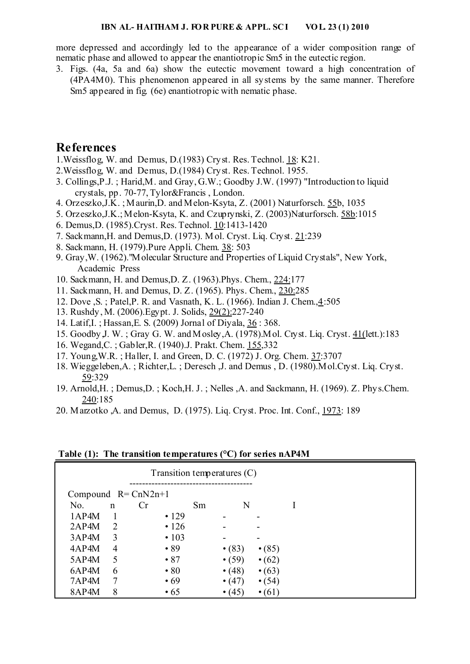more depressed and accordingly led to the appearance of a wider composition range of nematic phase and allowed to appear the enantiotropic Sm5 in the eutectic region.

3. Figs. (4a, 5a and 6a) show the eutectic movement toward a high concentration of (4PA4M0). This phenomenon appeared in all systems by the same manner. Therefore Sm5 appeared in fig. (6e) enantiotropic with nematic phase.

## **References**

- 1.Weissflog, W. and Demus, D.(1983) Cryst. Res. Technol. 18: K21.
- 2.Weissflog, W. and Demus, D.(1984) Cryst. Res. Technol. 1955.
- 3. Collings,P.J. ; Harid,M. and Gray, G.W.; Goodby J.W. (1997) "Introduction to liquid crystals, pp. 70-77, Tylor&Francis , London.
- 4. Orzeszko,J.K. ; Maurin,D. and Melon-Ksyta, Z. (2001) Naturforsch. 55b, 1035
- 5. Orzeszko,J.K.; Melon-Ksyta, K. and Czuprynski, Z. (2003)Naturforsch. 58b:1015
- 6. Demus,D. (1985).Cryst. Res. Technol. 10:1413-1420
- 7. Sackmann,H. and Demus,D. (1973). M ol. Cryst. Liq. Cryst. 21:239
- 8. Sackmann, H. (1979).Pure Appli. Chem. 38: 503
- 9. Gray,W. (1962)."Molecular Structure and Properties of Liquid Crystals", New York, Academic Press
- 10. Sackmann, H. and Demus,D. Z. (1963).Phys. Chem., 224:177
- 11. Sackmann, H. and Demus, D. Z. (1965). Phys. Chem., 230:285
- 12. Dove ,S. ; Patel,P. R. and Vasnath, K. L. (1966). Indian J. Chem.,4:505
- 13. Rushdy, M. (2006).Egypt. J. Solids, 29(2):227-240
- 14. Latif,I. ; Hassan,E. S. (2009) Jornal of Diyala, 36 : 368.
- 15. Goodby,J. W. ; Gray G. W. and Mosley,A. (1978).Mol. Cryst. Liq. Cryst. 41(lett.):183
- 16. Wegand,C. ; Gabler,R. (1940).J. Prakt. Chem. 155,332
- 17. Young,W.R. ; Haller, I. and Green, D. C. (1972) J. Org. Chem. 37:3707
- 18. Wieggeleben,A. ; Richter,L. ; Deresch ,J. and Demus , D. (1980).Mol.Cryst. Liq. Cryst. 59:329
- 19. Arnold,H. ; Demus,D. ; Koch,H. J. ; Nelles ,A. and Sackmann, H. (1969). Z. Phys.Chem. 240:185
- 20. Marzotko ,A. and Demus, D. (1975). Liq. Cryst. Proc. Int. Conf., 1973: 189

|       |             | Transition temperatures $(C)$ |           |                |                |  |
|-------|-------------|-------------------------------|-----------|----------------|----------------|--|
|       |             | Compound $R = CnN2n+1$        |           |                |                |  |
| No.   | $\mathbf n$ | Cr                            | <b>Sm</b> | N              |                |  |
| 1AP4M | 1           | • 129                         |           |                |                |  |
| 2AP4M | 2           | $\cdot$ 126                   |           |                |                |  |
| 3AP4M | 3           | $\cdot$ 103                   |           |                |                |  |
| 4AP4M | 4           | • 89                          |           | $\bullet$ (83) | $\cdot (85)$   |  |
| 5AP4M | 5           | $\cdot$ 87                    |           | $\bullet$ (59) | $\cdot (62)$   |  |
| 6AP4M | 6           | $\cdot 80$                    |           | $\bullet$ (48) | $\cdot (63)$   |  |
| 7AP4M | 7           | $\cdot 69$                    |           | $\bullet$ (47) | $\bullet$ (54) |  |
| 8AP4M | 8           | $\cdot 65$                    |           | $\bullet$ (45) | $\cdot$ (61)   |  |

#### **Table (1): The transition temperatures (°C) for series nAP4M**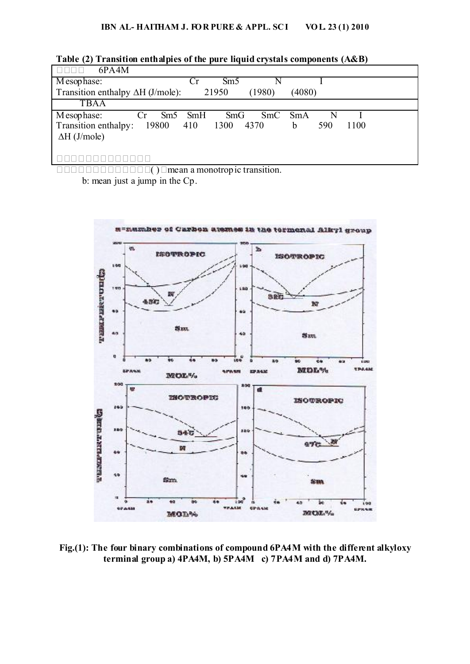| $\frac{1}{2}$ and $\frac{1}{2}$ and $\frac{1}{2}$ and $\frac{1}{2}$ and $\frac{1}{2}$ and $\frac{1}{2}$ and $\frac{1}{2}$ and $\frac{1}{2}$ and $\frac{1}{2}$ and $\frac{1}{2}$ |     |       |        |          |      |  |  |  |  |  |  |  |
|---------------------------------------------------------------------------------------------------------------------------------------------------------------------------------|-----|-------|--------|----------|------|--|--|--|--|--|--|--|
| 6PA4M                                                                                                                                                                           |     |       |        |          |      |  |  |  |  |  |  |  |
| Mesophase:                                                                                                                                                                      |     | Sm5   |        |          |      |  |  |  |  |  |  |  |
| Transition enthalpy $\Delta H$ (J/mole):                                                                                                                                        |     | 21950 | (1980) | (4080)   |      |  |  |  |  |  |  |  |
| <b>TBAA</b>                                                                                                                                                                     |     |       |        |          |      |  |  |  |  |  |  |  |
| Mesophase:<br>Sm5<br>Cr                                                                                                                                                         | SmH | SmG   | SmC    | SmA<br>N |      |  |  |  |  |  |  |  |
| Transition enthalpy:<br>19800                                                                                                                                                   | 410 | 1300  | 4370   | 590<br>b | 1100 |  |  |  |  |  |  |  |
| $\Delta H$ (J/mole)                                                                                                                                                             |     |       |        |          |      |  |  |  |  |  |  |  |
|                                                                                                                                                                                 |     |       |        |          |      |  |  |  |  |  |  |  |
|                                                                                                                                                                                 |     |       |        |          |      |  |  |  |  |  |  |  |
|                                                                                                                                                                                 |     |       |        |          |      |  |  |  |  |  |  |  |

**Table (2) Transition enthalpies of the pure liquid crystals components (A&B)** 

( )mean a monotropic transition.

b: mean just a jump in the Cp.



**Fig.(1): The four binary combinations of compound 6PA4M with the different alkyloxy terminal group a) 4PA4M, b) 5PA4M c) 7PA4M and d) 7PA4M.**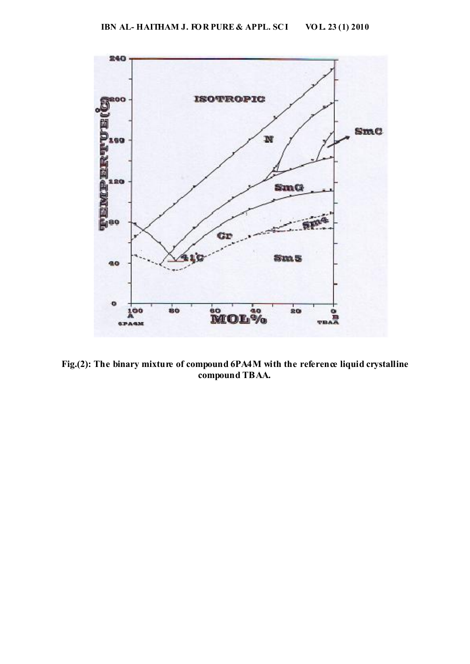

**Fig.(2): The binary mixture of compound 6PA4M with the reference liquid crystalline compound TBAA.**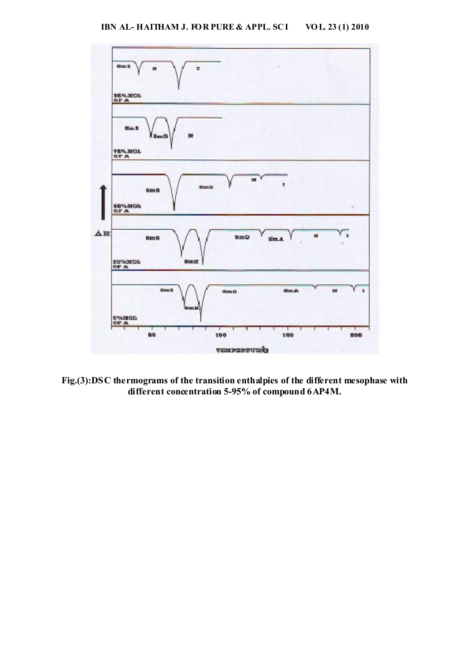

**Fig.(3):DSC thermograms of the transition enthalpies of the different mesophase with different concentration 5-95% of compound 6AP4M.**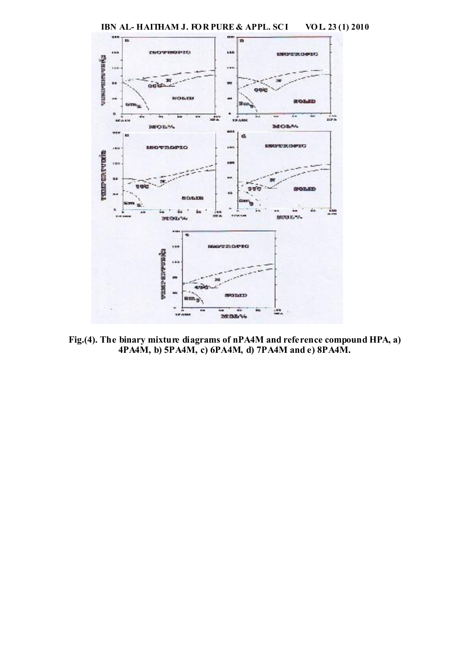

**Fig.(4). The binary mixture diagrams of nPA4M and reference compound HPA, a) 4PA4M, b) 5PA4M, c) 6PA4M, d) 7PA4M and e) 8PA4M.**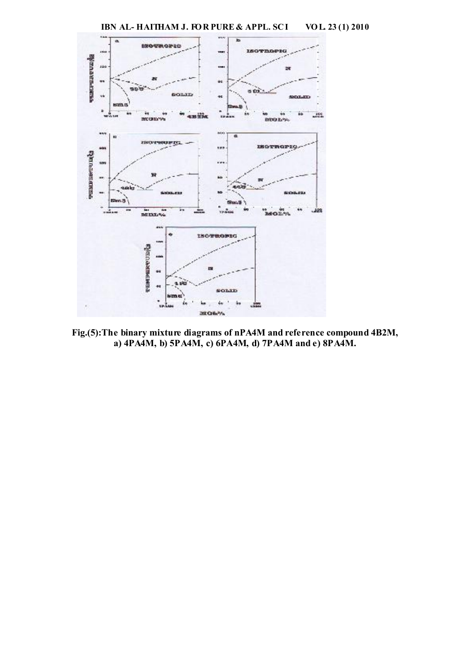

**Fig.(5):The binary mixture diagrams of nPA4M and reference compound 4B2M, a) 4PA4M, b) 5PA4M, c) 6PA4M, d) 7PA4M and e) 8PA4M.**